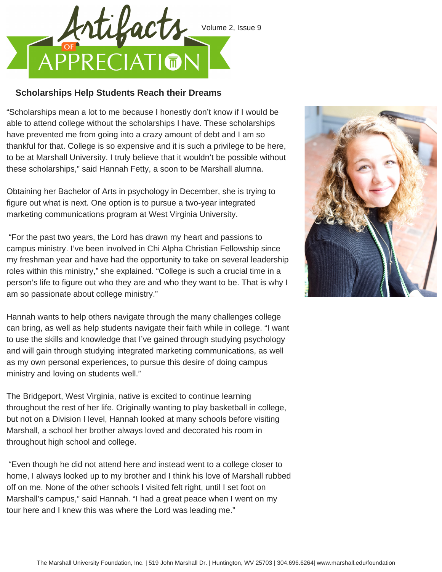

## **Scholarships Help Students Reach their Dreams**

"Scholarships mean a lot to me because I honestly don't know if I would be able to attend college without the scholarships I have. These scholarships have prevented me from going into a crazy amount of debt and I am so thankful for that. College is so expensive and it is such a privilege to be here, to be at Marshall University. I truly believe that it wouldn't be possible without these scholarships," said Hannah Fetty, a soon to be Marshall alumna.

Obtaining her Bachelor of Arts in psychology in December, she is trying to figure out what is next. One option is to pursue a two-year integrated marketing communications program at West Virginia University.

"For the past two years, the Lord has drawn my heart and passions to campus ministry. I've been involved in Chi Alpha Christian Fellowship since my freshman year and have had the opportunity to take on several leadership roles within this ministry," she explained. "College is such a crucial time in a person's life to figure out who they are and who they want to be. That is why I am so passionate about college ministry."

Hannah wants to help others navigate through the many challenges college can bring, as well as help students navigate their faith while in college. "I want to use the skills and knowledge that I've gained through studying psychology and will gain through studying integrated marketing communications, as well as my own personal experiences, to pursue this desire of doing campus ministry and loving on students well."

The Bridgeport, West Virginia, native is excited to continue learning throughout the rest of her life. Originally wanting to play basketball in college, but not on a Division I level, Hannah looked at many schools before visiting Marshall, a school her brother always loved and decorated his room in throughout high school and college.

"Even though he did not attend here and instead went to a college closer to home, I always looked up to my brother and I think his love of Marshall rubbed off on me. None of the other schools I visited felt right, until I set foot on Marshall's campus," said Hannah. "I had a great peace when I went on my tour here and I knew this was where the Lord was leading me."